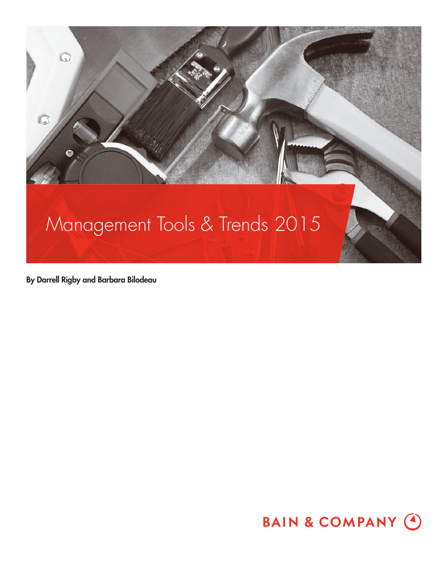

By Darrell Rigby and Barbara Bilodeau

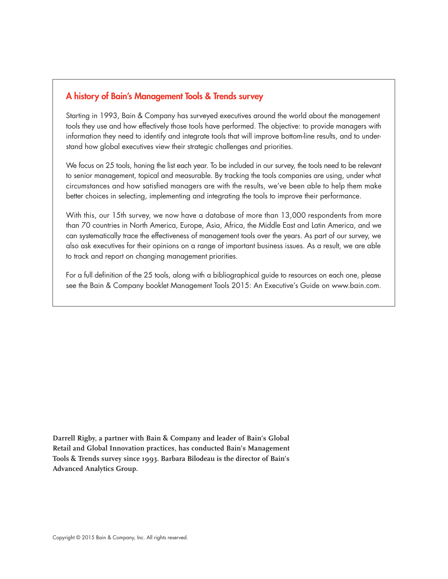### A history of Bain's Management Tools & Trends survey

Starting in 1993, Bain & Company has surveyed executives around the world about the management tools they use and how effectively those tools have performed. The objective: to provide managers with information they need to identify and integrate tools that will improve bottom-line results, and to understand how global executives view their strategic challenges and priorities.

We focus on 25 tools, honing the list each year. To be included in our survey, the tools need to be relevant to senior management, topical and measurable. By tracking the tools companies are using, under what circumstances and how satisfied managers are with the results, we've been able to help them make better choices in selecting, implementing and integrating the tools to improve their performance.

With this, our 15th survey, we now have a database of more than 13,000 respondents from more than 70 countries in North America, Europe, Asia, Africa, the Middle East and Latin America, and we can systematically trace the effectiveness of management tools over the years. As part of our survey, we also ask executives for their opinions on a range of important business issues. As a result, we are able to track and report on changing management priorities.

For a full definition of the 25 tools, along with a bibliographical guide to resources on each one, please see the Bain & Company booklet Management Tools 2015: An Executive's Guide on www.bain.com.

**Darrell Rigby, a partner with Bain & Company and leader of Bain's Global Retail and Global Innovation practices, has conducted Bain's Management Tools & Trends survey since 1993. Barbara Bilodeau is the director of Bain's Advanced Analytics Group.**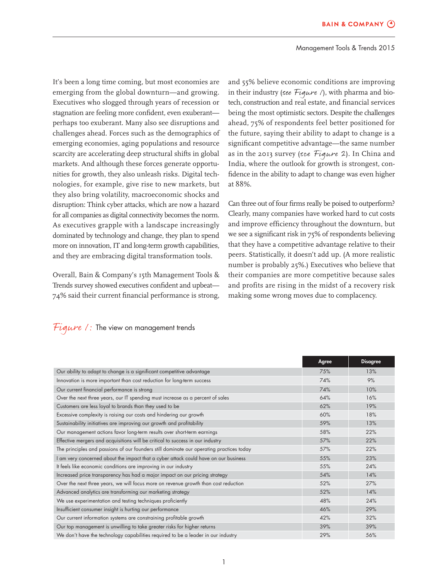It's been a long time coming, but most economies are emerging from the global downturn—and growing. Executives who slogged through years of recession or stagnation are feeling more confident, even exuberantperhaps too exuberant. Many also see disruptions and challenges ahead. Forces such as the demographics of emerging economies, aging populations and resource scarcity are accelerating deep structural shifts in global markets. And although these forces generate opportunities for growth, they also unleash risks. Digital technologies, for example, give rise to new markets, but they also bring volatility, macroeconomic shocks and disruption: Think cyber attacks, which are now a hazard for all companies as digital connectivity becomes the norm. As executives grapple with a landscape increasingly dominated by technology and change, they plan to spend more on innovation, IT and long-term growth capabilities, and they are embracing digital transformation tools.

Overall, Bain & Company's 15th Management Tools & Trends survey showed executives confident and upbeat-74% said their current financial performance is strong,

and 55% believe economic conditions are improving in their industry (see Figure  $\ell$ ), with pharma and biotech, construction and real estate, and financial services being the most optimistic sectors. Despite the challenges ahead, 75% of respondents feel better positioned for the future, saying their ability to adapt to change is a significant competitive advantage—the same number as in the 2013 survey (see Figure 2). In China and India, where the outlook for growth is strongest, confidence in the ability to adapt to change was even higher at 88%.

Can three out of four firms really be poised to outperform? Clearly, many companies have worked hard to cut costs and improve efficiency throughout the downturn, but we see a significant risk in 75% of respondents believing that they have a competitive advantage relative to their peers. Statistically, it doesn't add up. (A more realistic number is probably 25%.) Executives who believe that their companies are more competitive because sales and profits are rising in the midst of a recovery risk making some wrong moves due to complacency.

|                                                                                          | Agree | <b>Disagree</b> |
|------------------------------------------------------------------------------------------|-------|-----------------|
| Our ability to adapt to change is a significant competitive advantage                    | 75%   | 13%             |
| Innovation is more important than cost reduction for long-term success                   | 74%   | 9%              |
| Our current financial performance is strong                                              | 74%   | 10%             |
| Over the next three years, our IT spending must increase as a percent of sales           | 64%   | 16%             |
| Customers are less loyal to brands than they used to be                                  | 62%   | 19%             |
| Excessive complexity is raising our costs and hindering our growth                       | 60%   | 18%             |
| Sustainability initiatives are improving our growth and profitability                    | 59%   | 13%             |
| Our management actions favor long-term results over short-term earnings                  | 58%   | 22%             |
| Effective mergers and acquisitions will be critical to success in our industry           | 57%   | 22%             |
| The principles and passions of our founders still dominate our operating practices today | 57%   | 22%             |
| I am very concerned about the impact that a cyber attack could have on our business      | 55%   | 23%             |
| It feels like economic conditions are improving in our industry                          | 55%   | 24%             |
| Increased price transparency has had a major impact on our pricing strategy              | 54%   | 14%             |
| Over the next three years, we will focus more on revenue growth than cost reduction      | 52%   | 27%             |
| Advanced analytics are transforming our marketing strategy                               | 52%   | 14%             |
| We use experimentation and testing techniques proficiently                               | 48%   | 24%             |
| Insufficient consumer insight is hurting our performance                                 | 46%   | 29%             |
| Our current information systems are constraining profitable growth                       | 42%   | 32%             |
| Our top management is unwilling to take greater risks for higher returns                 | 39%   | 39%             |
| We don't have the technology capabilities required to be a leader in our industry        | 29%   | 56%             |

#### Figure 1: The view on management trends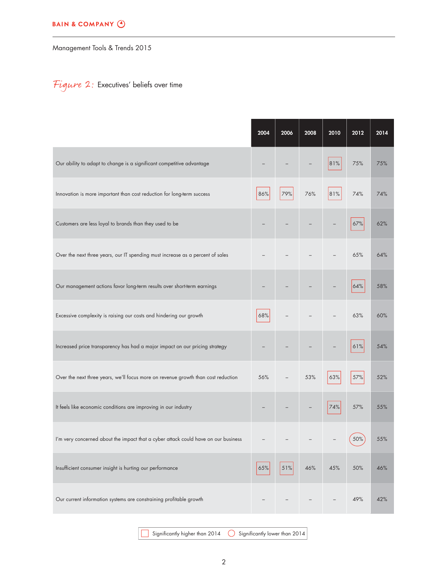#### **BAIN & COMPANY @**

Management Tools & Trends 2015

# Figure 2: Executives' beliefs over time

|                                                                                    | 2004 | 2006 | 2008 | 2010 | 2012 | 2014 |
|------------------------------------------------------------------------------------|------|------|------|------|------|------|
| Our ability to adapt to change is a significant competitive advantage              |      |      |      | 81%  | 75%  | 75%  |
| Innovation is more important than cost reduction for long-term success             | 86%  | 79%  | 76%  | 81%  | 74%  | 74%  |
| Customers are less loyal to brands than they used to be                            |      |      |      |      | 67%  | 62%  |
| Over the next three years, our IT spending must increase as a percent of sales     |      |      |      |      | 65%  | 64%  |
| Our management actions favor long-term results over short-term earnings            |      |      |      |      | 64%  | 58%  |
| Excessive complexity is raising our costs and hindering our growth                 | 68%  |      |      |      | 63%  | 60%  |
| Increased price transparency has had a major impact on our pricing strategy        |      |      |      |      | 61%  | 54%  |
| Over the next three years, we'll focus more on revenue growth than cost reduction  | 56%  |      | 53%  | 63%  | 57%  | 52%  |
| It feels like economic conditions are improving in our industry                    |      |      |      | 74%  | 57%  | 55%  |
| I'm very concerned about the impact that a cyber attack could have on our business |      |      |      |      | 50%  | 55%  |
| Insufficient consumer insight is hurting our performance                           | 65%  | 51%  | 46%  | 45%  | 50%  | 46%  |
| Our current information systems are constraining profitable growth                 |      |      |      |      | 49%  | 42%  |

Significantly higher than  $2014$   $\bigcirc$  Significantly lower than  $2014$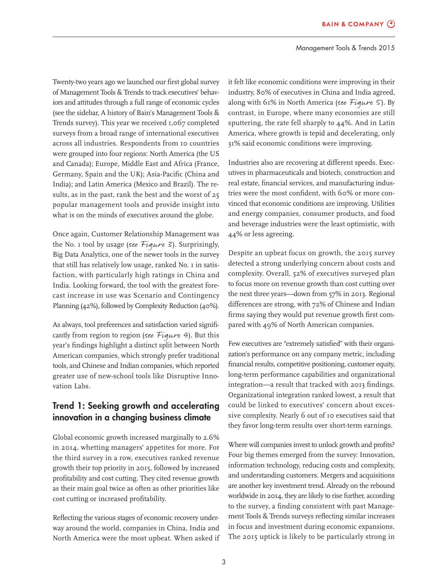Twenty-two years ago we launched our first global survey of Management Tools & Trends to track executives' behaviors and attitudes through a full range of economic cycles (see the sidebar, A history of Bain's Management Tools & Trends survey). This year we received 1,067 completed surveys from a broad range of international executives across all industries. Respondents from 10 countries were grouped into four regions: North America (the US and Canada); Europe, Middle East and Africa (France, Germany, Spain and the UK); Asia-Pacific (China and India); and Latin America (Mexico and Brazil). The results, as in the past, rank the best and the worst of 25 popular management tools and provide insight into what is on the minds of executives around the globe.

Once again, Customer Relationship Management was the No. 1 tool by usage (see Figure 3). Surprisingly, Big Data Analytics, one of the newer tools in the survey that still has relatively low usage, ranked No. I in satisfaction, with particularly high ratings in China and India. Looking forward, the tool with the greatest forecast increase in use was Scenario and Contingency Planning (42%), followed by Complexity Reduction (40%).

As always, tool preferences and satisfaction varied significantly from region to region (see Figure 4). But this year's findings highlight a distinct split between North American companies, which strongly prefer traditional tools, and Chinese and Indian companies, which reported greater use of new-school tools like Disruptive Innovation Labs.

## Trend 1: Seeking growth and accelerating innovation in a changing business climate

Global economic growth increased marginally to 2.6% in 2014, whetting managers' appetites for more. For the third survey in a row, executives ranked revenue growth their top priority in 2015, followed by increased profitability and cost cutting. They cited revenue growth as their main goal twice as often as other priorities like cost cutting or increased profitability.

Reflecting the various stages of economic recovery underway around the world, companies in China, India and North America were the most upbeat. When asked if it felt like economic conditions were improving in their industry, 80% of executives in China and India agreed, along with 61% in North America (see Figure 5). By contrast, in Europe, where many economies are still sputtering, the rate fell sharply to 44%. And in Latin America, where growth is tepid and decelerating, only 31% said economic conditions were improving.

Industries also are recovering at different speeds. Executives in pharmaceuticals and biotech, construction and real estate, financial services, and manufacturing industries were the most confident, with 60% or more convinced that economic conditions are improving. Utilities and energy companies, consumer products, and food and beverage industries were the least optimistic, with 44% or less agreeing.

Despite an upbeat focus on growth, the 2015 survey detected a strong underlying concern about costs and complexity. Overall, 52% of executives surveyed plan to focus more on revenue growth than cost cutting over the next three years—down from 57% in 2013. Regional differences are strong, with 72% of Chinese and Indian firms saying they would put revenue growth first compared with 49% of North American companies.

Few executives are "extremely satisfied" with their organization's performance on any company metric, including financial results, competitive positioning, customer equity, long-term performance capabilities and organizational integration—a result that tracked with 2013 findings. Organizational integration ranked lowest, a result that could be linked to executives' concern about excessive complexity. Nearly 6 out of 10 executives said that they favor long-term results over short-term earnings.

Where will companies invest to unlock growth and profits? Four big themes emerged from the survey: Innovation, information technology, reducing costs and complexity, and understanding customers. Mergers and acquisitions are another key investment trend. Already on the rebound worldwide in 2014, they are likely to rise further, according to the survey, a finding consistent with past Management Tools & Trends surveys reflecting similar increases in focus and investment during economic expansions. The 2015 uptick is likely to be particularly strong in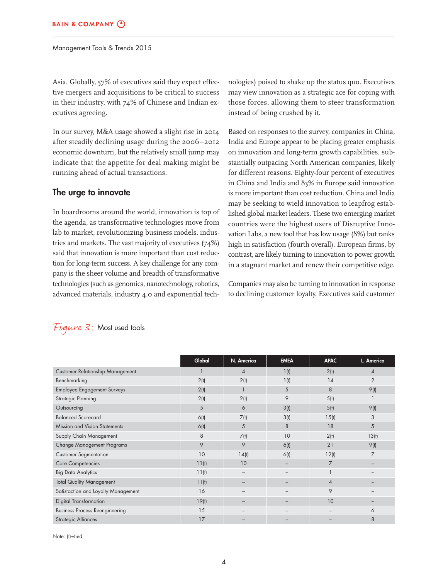Asia. Globally, 57% of executives said they expect effective mergers and acquisitions to be critical to success in their industry, with 74% of Chinese and Indian executives agreeing.

In our survey, M&A usage showed a slight rise in 2014 after steadily declining usage during the 2006−2012 economic downturn, but the relatively small jump may indicate that the appetite for deal making might be running ahead of actual transactions.

#### The urge to innovate

In boardrooms around the world, innovation is top of the agenda, as transformative technologies move from lab to market, revolutionizing business models, industries and markets. The vast majority of executives (74%) said that innovation is more important than cost reduction for long-term success. A key challenge for any company is the sheer volume and breadth of transformative technologies (such as genomics, nanotechnology, robotics, advanced materials, industry 4.0 and exponential technologies) poised to shake up the status quo. Executives may view innovation as a strategic ace for coping with those forces, allowing them to steer transformation instead of being crushed by it.

Based on responses to the survey, companies in China, India and Europe appear to be placing greater emphasis on innovation and long-term growth capabilities, substantially outpacing North American companies, likely for different reasons. Eighty-four percent of executives in China and India and 83% in Europe said innovation is more important than cost reduction. China and India may be seeking to wield innovation to leapfrog established global market leaders. These two emerging market countries were the highest users of Disruptive Innovation Labs, a new tool that has low usage (8%) but ranks high in satisfaction (fourth overall). European firms, by contrast, are likely turning to innovation to power growth in a stagnant market and renew their competitive edge.

Companies may also be turning to innovation in response to declining customer loyalty. Executives said customer

|                                       | Global | N. America               | <b>EMEA</b> | <b>APAC</b>    | L. America     |
|---------------------------------------|--------|--------------------------|-------------|----------------|----------------|
| Customer Relationship Management      |        | $\overline{4}$           | 1(t)        | 2(t)           | $\overline{4}$ |
| Benchmarking                          | 2(t)   | 2(t)                     | 1(t)        | 14             | $\overline{2}$ |
| <b>Employee Engagement Surveys</b>    | 2(t)   |                          | 5           | 8              | 9(t)           |
| Strategic Planning                    | 2(t)   | 2(t)                     | 9           | 5(t)           |                |
| Outsourcing                           | 5      | 6                        | 3(t)        | 5(t)           | 9(t)           |
| <b>Balanced Scorecard</b>             | 6(t)   | 7(t)                     | 3(t)        | 15(t)          | 3              |
| Mission and Vision Statements         | 6(t)   | 5                        | 8           | 18             | 5              |
| Supply Chain Management               | 8      | 7(t)                     | 10          | 2(t)           | 13(t)          |
| Change Management Programs            | 9      | 9                        | 6(t)        | 21             | 9(t)           |
| <b>Customer Segmentation</b>          | 10     | 14(t)                    | 6(t)        | 12(t)          | $\overline{7}$ |
| Core Competencies                     | 11(t)  | 10                       |             | 7              |                |
| <b>Big Data Analytics</b>             | 11(t)  | $\overline{\phantom{m}}$ |             |                |                |
| <b>Total Quality Management</b>       | 11(t)  |                          |             | $\overline{4}$ |                |
| Satisfaction and Loyalty Management   | 16     |                          |             | 9              |                |
| <b>Digital Transformation</b>         | 19(t)  |                          |             | 10             |                |
| <b>Business Process Reengineering</b> | 15     |                          |             |                | 6              |
| <b>Strategic Alliances</b>            | 17     |                          |             |                | 8              |

### Figure 3: Most used tools

Note: (t)=tied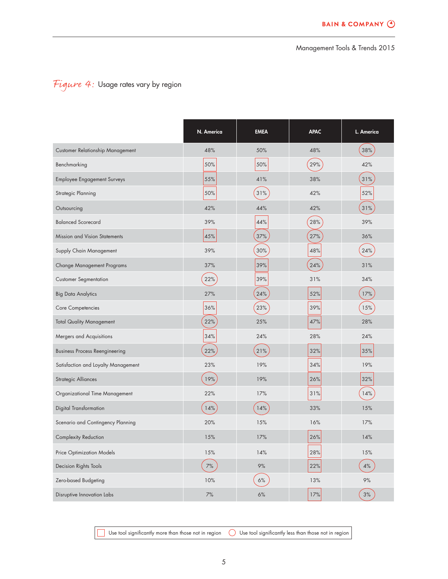# Figure 4: Usage rates vary by region

|                                       | N. America | <b>EMEA</b> | <b>APAC</b> | L. America |
|---------------------------------------|------------|-------------|-------------|------------|
| Customer Relationship Management      | 48%        | 50%         | 48%         | 38%        |
| Benchmarking                          | 50%        | 50%         | 29%         | 42%        |
| <b>Employee Engagement Surveys</b>    | 55%        | 41%         | 38%         | 31%        |
| Strategic Planning                    | 50%        | 31%         | 42%         | 52%        |
| Outsourcing                           | 42%        | 44%         | 42%         | 31%        |
| <b>Balanced Scorecard</b>             | 39%        | 44%         | 28%         | 39%        |
| Mission and Vision Statements         | 45%        | 37%         | 27%         | 36%        |
| Supply Chain Management               | 39%        | 30%         | 48%         | 24%        |
| Change Management Programs            | 37%        | 39%         | 24%         | 31%        |
| <b>Customer Segmentation</b>          | 22%        | 39%         | 31%         | 34%        |
| <b>Big Data Analytics</b>             | 27%        | 24%         | 52%         | 17%        |
| Core Competencies                     | 36%        | 23%         | 39%         | 15%        |
| <b>Total Quality Management</b>       | 22%        | 25%         | 47%         | 28%        |
| Mergers and Acquisitions              | 34%        | 24%         | 28%         | 24%        |
| <b>Business Process Reengineering</b> | 22%        | 21%         | 32%         | 35%        |
| Satisfaction and Loyalty Management   | 23%        | 19%         | 34%         | 19%        |
| Strategic Alliances                   | 19%        | 19%         | 26%         | 32%        |
| Organizational Time Management        | 22%        | 17%         | 31%         | 14%        |
| Digital Transformation                | 14%        | 14%         | 33%         | 15%        |
| Scenario and Contingency Planning     | 20%        | 15%         | 16%         | 17%        |
| Complexity Reduction                  | 15%        | 17%         | 26%         | 14%        |
| Price Optimization Models             | 15%        | 14%         | 28%         | 15%        |
| Decision Rights Tools                 | 7%         | 9%          | 22%         | 4%         |
| Zero-based Budgeting                  | 10%        | 6%          | 13%         | 9%         |
| Disruptive Innovation Labs            | 7%         | 6%          | 17%         | 3%         |

 $\Box$  Use tool significantly more than those not in region  $\quad \bigcirc \,$  Use tool significantly less than those not in region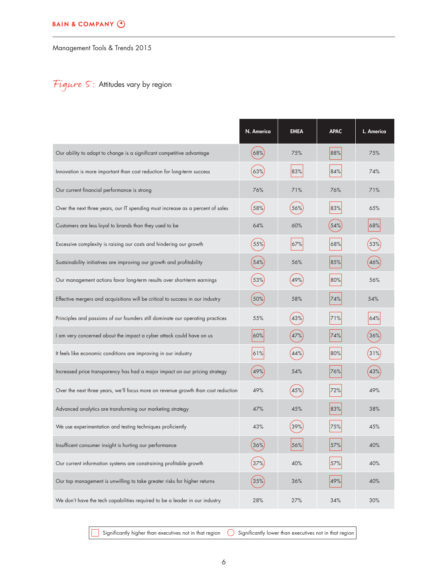# Figure 5: Attitudes vary by region

|                                                                                   | N. America | <b>EMEA</b> | <b>APAC</b> | L. America |
|-----------------------------------------------------------------------------------|------------|-------------|-------------|------------|
| Our ability to adapt to change is a significant competitive advantage             | 68%        | 75%         | 88%         | 75%        |
| Innovation is more important than cost reduction for long-term success            | 63%        | 83%         | 84%         | 74%        |
| Our current financial performance is strong                                       | 76%        | 71%         | 76%         | 71%        |
| Over the next three years, our IT spending must increase as a percent of sales    | 58%        | 56%         | 83%         | 65%        |
| Customers are less loyal to brands than they used to be                           | 64%        | 60%         | 54%         | 68%        |
| Excessive complexity is raising our costs and hindering our growth                | 55%        | 67%         | 68%         | 53%        |
| Sustainability initiatives are improving our growth and profitability             | 54%        | 56%         | 85%         | 46%        |
| Our management actions favor long-term results over short-term earnings           | 53%        | 49%         | 80%         | 56%        |
| Effective mergers and acquisitions will be critical to success in our industry    | 50%        | 58%         | 74%         | 54%        |
| Principles and passions of our founders still dominate our operating practices    | 55%        | 43%         | 71%         | 64%        |
| I am very concerned about the impact a cyber attack could have on us              | 60%        | 47%         | 74%         | 36%        |
| It feels like economic conditions are improving in our industry                   | 61%        | 44%         | 80%         | 31%        |
| Increased price transparency has had a major impact on our pricing strategy       | 49%        | 54%         | 76%         | 43%        |
| Over the next three years, we'll focus more on revenue growth than cost reduction | 49%        | 45%         | 72%         | 49%        |
| Advanced analytics are transforming our marketing strategy                        | 47%        | 45%         | 83%         | 38%        |
| We use experimentation and testing techniques proficiently                        | 43%        | 39%         | 75%         | 45%        |
| Insufficent consumer insight is hurting our performance                           | 36%        | 56%         | 57%         | 40%        |
| Our current information systems are constraining profitable growth                | 37%        | 40%         | 57%         | 40%        |
| Our top management is unwilling to take greater risks for higher returns          | 35%        | 36%         | 49%         | 40%        |
| We don't have the tech capabilities required to be a leader in our industry       | 28%        | 27%         | 34%         | 30%        |

 $\Box$  Significantly higher than executives not in that region  $\;\bigcirc \;$  Significantly lower than executives not in that region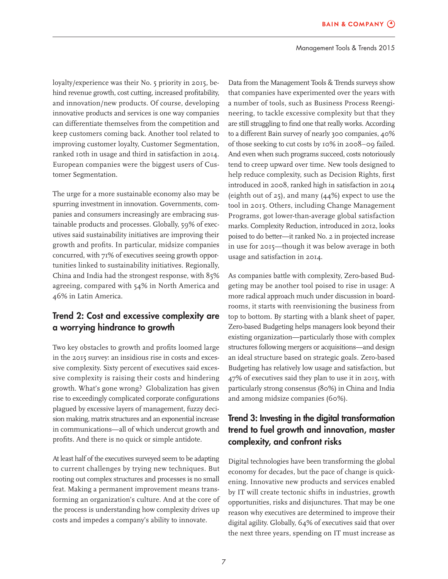loyalty/experience was their No. 5 priority in 2015, behind revenue growth, cost cutting, increased profitability, and innovation/new products. Of course, developing innovative products and services is one way companies can differentiate themselves from the competition and keep customers coming back. Another tool related to improving customer loyalty, Customer Segmentation, ranked 10th in usage and third in satisfaction in 2014. European companies were the biggest users of Customer Segmentation.

The urge for a more sustainable economy also may be spurring investment in innovation. Governments, companies and consumers increasingly are embracing sustainable products and processes. Globally, 59% of executives said sustainability initiatives are improving their growth and profits. In particular, midsize companies concurred, with 71% of executives seeing growth opportunities linked to sustainability initiatives. Regionally, China and India had the strongest response, with 85% agreeing, compared with 54% in North America and 46% in Latin America.

### Trend 2: Cost and excessive complexity are a worrying hindrance to growth

Two key obstacles to growth and profits loomed large in the 2015 survey: an insidious rise in costs and excessive complexity. Sixty percent of executives said excessive complexity is raising their costs and hindering growth. What's gone wrong? Globalization has given rise to exceedingly complicated corporate configurations plagued by excessive layers of management, fuzzy decision making, matrix structures and an exponential increase in communications—all of which undercut growth and profits. And there is no quick or simple antidote.

At least half of the executives surveyed seem to be adapting to current challenges by trying new techniques. But rooting out complex structures and processes is no small feat. Making a permanent improvement means transforming an organization's culture. And at the core of the process is understanding how complexity drives up costs and impedes a company's ability to innovate.

Data from the Management Tools & Trends surveys show that companies have experimented over the years with a number of tools, such as Business Process Reengineering, to tackle excessive complexity but that they are still struggling to find one that really works. According to a different Bain survey of nearly 300 companies, 40% of those seeking to cut costs by 10% in 2008−09 failed. And even when such programs succeed, costs notoriously tend to creep upward over time. New tools designed to help reduce complexity, such as Decision Rights, first introduced in 2008, ranked high in satisfaction in 2014 (eighth out of 25), and many (44%) expect to use the tool in 2015. Others, including Change Management Programs, got lower-than-average global satisfaction marks. Complexity Reduction, introduced in 2012, looks poised to do better—it ranked No. 2 in projected increase in use for 2015—though it was below average in both usage and satisfaction in 2014.

As companies battle with complexity, Zero-based Budgeting may be another tool poised to rise in usage: A more radical approach much under discussion in boardrooms, it starts with reenvisioning the business from top to bottom. By starting with a blank sheet of paper, Zero-based Budgeting helps managers look beyond their existing organization—particularly those with complex structures following mergers or acquisitions—and design an ideal structure based on strategic goals. Zero-based Budgeting has relatively low usage and satisfaction, but 47% of executives said they plan to use it in 2015, with particularly strong consensus (80%) in China and India and among midsize companies (60%).

## Trend 3: Investing in the digital transformation trend to fuel growth and innovation, master complexity, and confront risks

Digital technologies have been transforming the global economy for decades, but the pace of change is quickening. Innovative new products and services enabled by IT will create tectonic shifts in industries, growth opportunities, risks and disjunctures. That may be one reason why executives are determined to improve their digital agility. Globally, 64% of executives said that over the next three years, spending on IT must increase as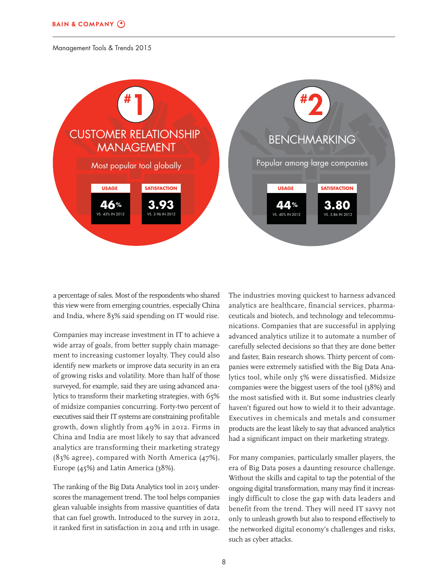

a percentage of sales. Most of the respondents who shared this view were from emerging countries, especially China and India, where 83% said spending on IT would rise.

Companies may increase investment in IT to achieve a wide array of goals, from better supply chain management to increasing customer loyalty. They could also identify new markets or improve data security in an era of growing risks and volatility. More than half of those surveyed, for example, said they are using advanced analytics to transform their marketing strategies, with 65% of midsize companies concurring. Forty-two percent of executives said their IT systems are constraining profitable growth, down slightly from 49% in 2012. Firms in China and India are most likely to say that advanced analytics are transforming their marketing strategy (83% agree), compared with North America (47%), Europe (45%) and Latin America (38%).

The ranking of the Big Data Analytics tool in 2015 underscores the management trend. The tool helps companies glean valuable insights from massive quantities of data that can fuel growth. Introduced to the survey in 2012, it ranked first in satisfaction in 2014 and 11th in usage. The industries moving quickest to harness advanced analytics are healthcare, financial services, pharmaceuticals and biotech, and technology and telecommunications. Companies that are successful in applying advanced analytics utilize it to automate a number of carefully selected decisions so that they are done better and faster, Bain research shows. Thirty percent of companies were extremely satisfied with the Big Data Analytics tool, while only 5% were dissatisfied. Midsize companies were the biggest users of the tool (38%) and the most satisfied with it. But some industries clearly haven't figured out how to wield it to their advantage. Executives in chemicals and metals and consumer products are the least likely to say that advanced analytics had a significant impact on their marketing strategy.

For many companies, particularly smaller players, the era of Big Data poses a daunting resource challenge. Without the skills and capital to tap the potential of the ongoing digital transformation, many may find it increasingly difficult to close the gap with data leaders and benefit from the trend. They will need IT savvy not only to unleash growth but also to respond effectively to the networked digital economy's challenges and risks, such as cyber attacks.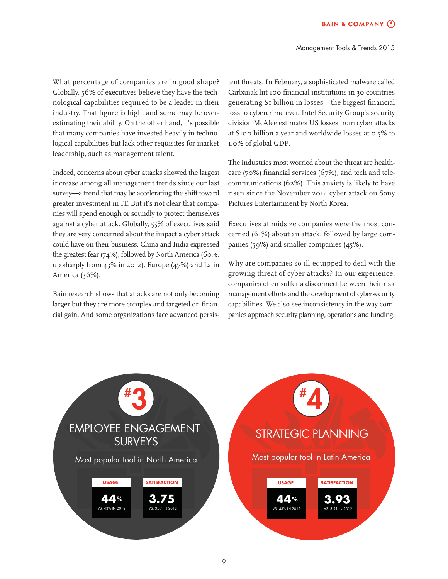What percentage of companies are in good shape? Globally, 56% of executives believe they have the technological capabilities required to be a leader in their industry. That figure is high, and some may be overestimating their ability. On the other hand, it's possible that many companies have invested heavily in technological capabilities but lack other requisites for market leadership, such as management talent.

Indeed, concerns about cyber attacks showed the largest increase among all management trends since our last survey—a trend that may be accelerating the shift toward greater investment in IT. But it's not clear that companies will spend enough or soundly to protect themselves against a cyber attack. Globally, 55% of executives said they are very concerned about the impact a cyber attack could have on their business. China and India expressed the greatest fear (74%), followed by North America (60%, up sharply from 43% in 2012), Europe (47%) and Latin America (36%).

Bain research shows that attacks are not only becoming larger but they are more complex and targeted on financial gain. And some organizations face advanced persistent threats. In February, a sophisticated malware called Carbanak hit 100 financial institutions in 30 countries generating \$1 billion in losses—the biggest financial loss to cybercrime ever. Intel Security Group's security division McAfee estimates US losses from cyber attacks at \$100 billion a year and worldwide losses at 0.5% to 1.0% of global GDP.

The industries most worried about the threat are healthcare (70%) financial services (67%), and tech and telecommunications (62%). This anxiety is likely to have risen since the November 2014 cyber attack on Sony Pictures Entertainment by North Korea.

Executives at midsize companies were the most concerned (61%) about an attack, followed by large companies (59%) and smaller companies (45%).

Why are companies so ill-equipped to deal with the growing threat of cyber attacks? In our experience, companies often suffer a disconnect between their risk management efforts and the development of cybersecurity capabilities. We also see inconsistency in the way companies approach security planning, operations and funding.



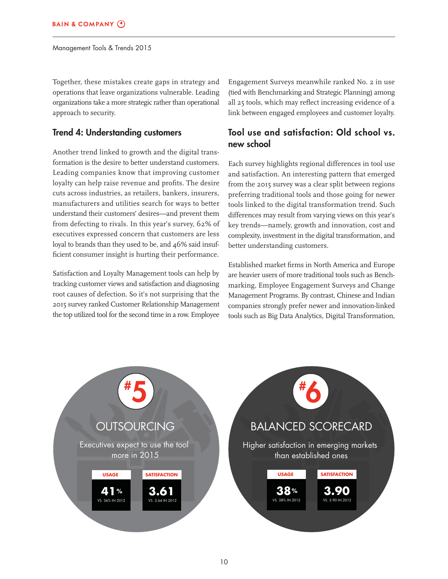Together, these mistakes create gaps in strategy and operations that leave organizations vulnerable. Leading organizations take a more strategic rather than operational approach to security.

### Trend 4: Understanding customers

Another trend linked to growth and the digital transformation is the desire to better understand customers. Leading companies know that improving customer loyalty can help raise revenue and profits. The desire cuts across industries, as retailers, bankers, insurers, manufacturers and utilities search for ways to better understand their customers' desires—and prevent them from defecting to rivals. In this year's survey, 62% of executives expressed concern that customers are less loyal to brands than they used to be, and 46% said insufficient consumer insight is hurting their performance.

Satisfaction and Loyalty Management tools can help by tracking customer views and satisfaction and diagnosing root causes of defection. So it's not surprising that the 2015 survey ranked Customer Relationship Management the top utilized tool for the second time in a row. Employee

Engagement Surveys meanwhile ranked No. 2 in use (tied with Benchmarking and Strategic Planning) among all 25 tools, which may reflect increasing evidence of a link between engaged employees and customer loyalty.

# Tool use and satisfaction: Old school vs. new school

Each survey highlights regional differences in tool use and satisfaction. An interesting pattern that emerged from the 2015 survey was a clear split between regions preferring traditional tools and those going for newer tools linked to the digital transformation trend. Such differences may result from varying views on this year's key trends—namely, growth and innovation, cost and complexity, investment in the digital transformation, and better understanding customers.

Established market firms in North America and Europe are heavier users of more traditional tools such as Benchmarking, Employee Engagement Surveys and Change Management Programs. By contrast, Chinese and Indian companies strongly prefer newer and innovation-linked tools such as Big Data Analytics, Digital Transformation,

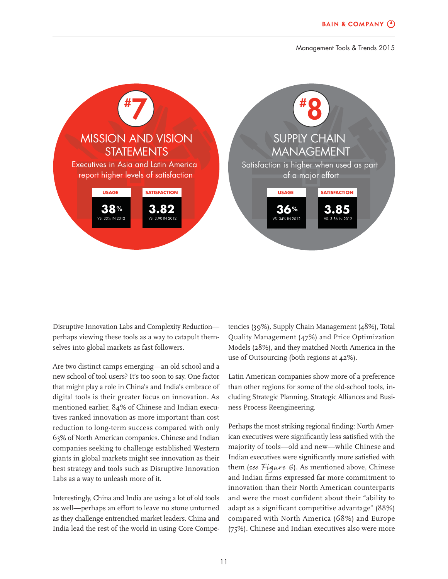

Disruptive Innovation Labs and Complexity Reduction perhaps viewing these tools as a way to catapult themselves into global markets as fast followers.

Are two distinct camps emerging—an old school and a new school of tool users? It's too soon to say. One factor that might play a role in China's and India's embrace of digital tools is their greater focus on innovation. As mentioned earlier, 84% of Chinese and Indian executives ranked innovation as more important than cost reduction to long-term success compared with only 63% of North American companies. Chinese and Indian companies seeking to challenge established Western giants in global markets might see innovation as their best strategy and tools such as Disruptive Innovation Labs as a way to unleash more of it.

Interestingly, China and India are using a lot of old tools as well—perhaps an effort to leave no stone unturned as they challenge entrenched market leaders. China and India lead the rest of the world in using Core Competencies (39%), Supply Chain Management (48%), Total Quality Management (47%) and Price Optimization Models (28%), and they matched North America in the use of Outsourcing (both regions at 42%).

Latin American companies show more of a preference than other regions for some of the old-school tools, including Strategic Planning, Strategic Alliances and Business Process Reengineering.

Perhaps the most striking regional finding: North American executives were significantly less satisfied with the majority of tools—old and new—while Chinese and Indian executives were significantly more satisfied with them (see  $Figure 6$ ). As mentioned above, Chinese and Indian firms expressed far more commitment to innovation than their North American counterparts and were the most confident about their "ability to adapt as a significant competitive advantage" (88%) compared with North America (68%) and Europe (75%). Chinese and Indian executives also were more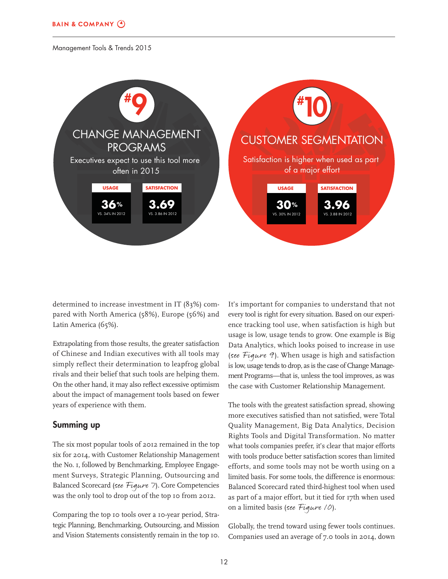

determined to increase investment in IT (83%) compared with North America (58%), Europe (56%) and Latin America (65%).

Extrapolating from those results, the greater satisfaction of Chinese and Indian executives with all tools may simply reflect their determination to leapfrog global rivals and their belief that such tools are helping them. On the other hand, it may also reflect excessive optimism about the impact of management tools based on fewer years of experience with them.

#### Summing up

The six most popular tools of 2012 remained in the top six for 2014, with Customer Relationship Management the No. 1, followed by Benchmarking, Employee Engagement Surveys, Strategic Planning, Outsourcing and Balanced Scorecard (see Figure 7). Core Competencies was the only tool to drop out of the top 10 from 2012.

Comparing the top 10 tools over a 10-year period, Strategic Planning, Benchmarking, Outsourcing, and Mission and Vision Statements consistently remain in the top 10.

It's important for companies to understand that not every tool is right for every situation. Based on our experience tracking tool use, when satisfaction is high but usage is low, usage tends to grow. One example is Big Data Analytics, which looks poised to increase in use (see Figure 9). When usage is high and satisfaction is low, usage tends to drop, as is the case of Change Management Programs—that is, unless the tool improves, as was the case with Customer Relationship Management.

The tools with the greatest satisfaction spread, showing more executives satisfied than not satisfied, were Total Quality Management, Big Data Analytics, Decision Rights Tools and Digital Transformation. No matter what tools companies prefer, it's clear that major efforts with tools produce better satisfaction scores than limited efforts, and some tools may not be worth using on a limited basis. For some tools, the difference is enormous: Balanced Scorecard rated third-highest tool when used as part of a major effort, but it tied for 17th when used on a limited basis (see Figure 10).

Globally, the trend toward using fewer tools continues. Companies used an average of 7.0 tools in 2014, down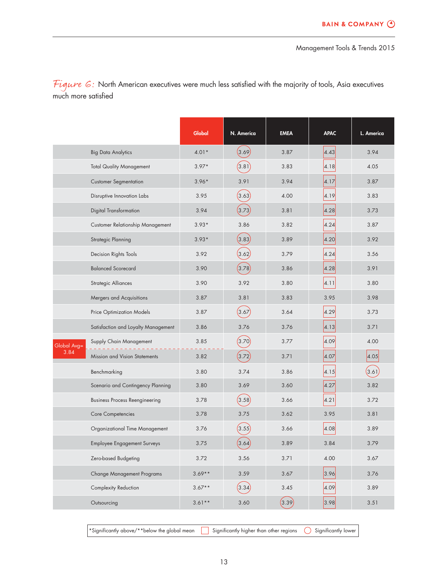Figure  $G$ : North American executives were much less satisfied with the majority of tools, Asia executives much more satisfied

|             |                                       | Global   | N. America | <b>EMEA</b> | <b>APAC</b> | L. America |
|-------------|---------------------------------------|----------|------------|-------------|-------------|------------|
|             | <b>Big Data Analytics</b>             | $4.01*$  | (3.69)     | 3.87        | 4.43        | 3.94       |
|             | <b>Total Quality Management</b>       | $3.97*$  | (3.81)     | 3.83        | 4.18        | 4.05       |
|             | <b>Customer Segmentation</b>          | $3.96*$  | 3.91       | 3.94        | 4.17        | 3.87       |
|             | Disruptive Innovation Labs            | 3.95     | (3.63)     | 4.00        | 4.19        | 3.83       |
|             | Digital Transformation                | 3.94     | (3.73)     | 3.81        | 4.28        | 3.73       |
|             | Customer Relationship Management      | $3.93*$  | 3.86       | 3.82        | 4.24        | 3.87       |
|             | Strategic Planning                    | $3.93*$  | (3.83)     | 3.89        | 4.20        | 3.92       |
|             | Decision Rights Tools                 | 3.92     | (3.62)     | 3.79        | 4.24        | 3.56       |
|             | <b>Balanced Scorecard</b>             | 3.90     | (3.78)     | 3.86        | 4.28        | 3.91       |
|             | <b>Strategic Alliances</b>            | 3.90     | 3.92       | 3.80        | 4.11        | 3.80       |
|             | Mergers and Acquisitions              | 3.87     | 3.81       | 3.83        | 3.95        | 3.98       |
|             | Price Optimization Models             | 3.87     | (3.67)     | 3.64        | 4.29        | 3.73       |
|             | Satisfaction and Loyalty Management   | 3.86     | 3.76       | 3.76        | 4.13        | 3.71       |
| Global Avg= | Supply Chain Management               | 3.85     | (3.70)     | 3.77        | 4.09        | 4.00       |
| 3.84        | Mission and Vision Statements         | 3.82     | (3.72)     | 3.71        | 4.07        | 4.05       |
|             | Benchmarking                          | 3.80     | 3.74       | 3.86        | 4.15        | (3.61)     |
|             | Scenario and Contingency Planning     | 3.80     | 3.69       | 3.60        | 4.27        | 3.82       |
|             | <b>Business Process Reengineering</b> | 3.78     | (3.58)     | 3.66        | 4.21        | 3.72       |
|             | Core Competencies                     | 3.78     | 3.75       | 3.62        | 3.95        | 3.81       |
|             | Organizational Time Management        | 3.76     | (3.55)     | 3.66        | 4.08        | 3.89       |
|             | Employee Engagement Surveys           | 3.75     | (3.64)     | 3.89        | 3.84        | 3.79       |
|             | Zero-based Budgeting                  | 3.72     | 3.56       | 3.71        | 4.00        | 3.67       |
|             | Change Management Programs            | $3.69**$ | 3.59       | 3.67        | 3.96        | 3.76       |
|             | Complexity Reduction                  | $3.67**$ | (3.34)     | 3.45        | 4.09        | 3.89       |
|             | Outsourcing                           | $3.61**$ | 3.60       | (3.39)      | 3.98        | 3.51       |
|             |                                       |          |            |             |             |            |

\*Significantly above/\*\*below the global mean  $\qquad \qquad$  Significantly higher than other regions  $\qquad$  Significantly lower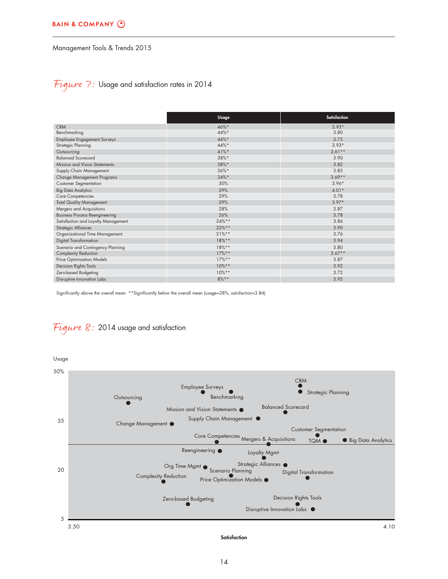### Figure 7: Usage and satisfaction rates in 2014

|                                       | Usage    | Satisfaction |
|---------------------------------------|----------|--------------|
| <b>CRM</b>                            | 46%*     | $3.93*$      |
| Benchmarking                          | 44%*     | 3.80         |
| <b>Employee Engagement Surveys</b>    | 44%*     | 3.75         |
| Strategic Planning                    | 44%*     | $3.93*$      |
| Outsourcing                           | $41%$ *  | $3.61**$     |
| <b>Balanced Scorecard</b>             | 38%*     | 3.90         |
| Mission and Vision Statements         | 38%*     | 3.82         |
| Supply Chain Management               | $36\%*$  | 3.85         |
| Change Management Programs            | $34\%*$  | $3.69**$     |
| <b>Customer Segmentation</b>          | 30%      | $3.96*$      |
| <b>Big Data Analytics</b>             | 29%      | $4.01*$      |
| Core Competencies                     | 29%      | 3.78         |
| <b>Total Quality Management</b>       | 29%      | $3.97*$      |
| Mergers and Acquisitions              | 28%      | 3.87         |
| <b>Business Process Reengineering</b> | 26%      | 3.78         |
| Satisfaction and Loyalty Management   | $24%$ ** | 3.86         |
| <b>Strategic Alliances</b>            | 22%**    | 3.90         |
| Organizational Time Management        | $21%$ ** | 3.76         |
| <b>Digital Transformation</b>         | $18%$ ** | 3.94         |
| Scenario and Contingency Planning     | $18%$ ** | 3.80         |
| Complexity Reduction                  | $17%$ ** | $3.67**$     |
| Price Optimization Models             | $17\%**$ | 3.87         |
| Decision Rights Tools                 | $10\%**$ | 3.92         |
| Zero-based Budgeting                  | $10\%**$ | 3.72         |
| Disruptive Innovation Labs            | $8\%**$  | 3.95         |

Significantly above the overall mean \*\*Significantly below the overall mean (usage=28%, satisfaction=3.84)

## Figure 8: 2014 usage and satisfaction

Usage



**Satisfaction**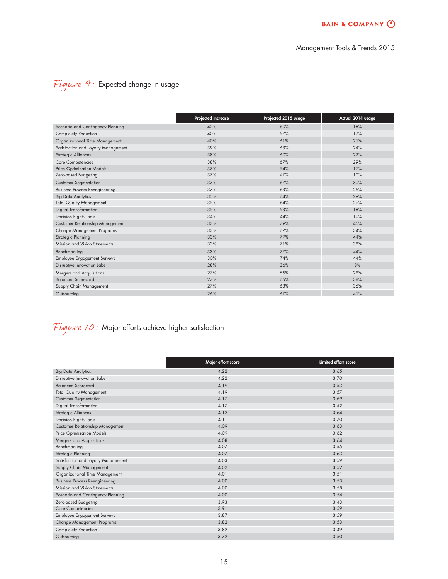# Figure 9: Expected change in usage

|                                         | Projected increase | Projected 2015 usage | Actual 2014 usage |
|-----------------------------------------|--------------------|----------------------|-------------------|
| Scenario and Contingency Planning       | 42%                | 60%                  | 18%               |
| Complexity Reduction                    | 40%                | 57%                  | 17%               |
| Organizational Time Management          | 40%                | 61%                  | 21%               |
| Satisfaction and Loyalty Management     | 39%                | 63%                  | 24%               |
| <b>Strategic Alliances</b>              | 38%                | 60%                  | 22%               |
| Core Competencies                       | 38%                | 67%                  | 29%               |
| <b>Price Optimization Models</b>        | 37%                | 54%                  | 17%               |
| Zero-based Budgeting                    | 37%                | 47%                  | 10%               |
| <b>Customer Segmentation</b>            | 37%                | 67%                  | 30%               |
| <b>Business Process Reengineering</b>   | 37%                | 63%                  | 26%               |
| <b>Big Data Analytics</b>               | 35%                | 64%                  | 29%               |
| <b>Total Quality Management</b>         | 35%                | 64%                  | 29%               |
| Digital Transformation                  | 35%                | 53%                  | 18%               |
| Decision Rights Tools                   | 34%                | 44%                  | 10%               |
| <b>Customer Relationship Management</b> | 33%                | 79%                  | 46%               |
| Change Management Programs              | 33%                | 67%                  | 34%               |
| <b>Strategic Planning</b>               | 33%                | 77%                  | 44%               |
| Mission and Vision Statements           | 33%                | 71%                  | 38%               |
| Benchmarking                            | 33%                | 77%                  | 44%               |
| <b>Employee Engagement Surveys</b>      | 30%                | 74%                  | 44%               |
| Disruptive Innovation Labs              | 28%                | 36%                  | 8%                |
| Mergers and Acquisitions                | 27%                | 55%                  | 28%               |
| <b>Balanced Scorecard</b>               | 27%                | 65%                  | 38%               |
| Supply Chain Management                 | 27%                | 63%                  | 36%               |
| Outsourcing                             | 26%                | 67%                  | 41%               |

# Figure  $/0$ : Major efforts achieve higher satisfaction

|                                       | Major effort score | Limited effort score |
|---------------------------------------|--------------------|----------------------|
| <b>Big Data Analytics</b>             | 4.22               | 3.65                 |
| Disruptive Innovation Labs            | 4.22               | 3.70                 |
| <b>Balanced Scorecard</b>             | 4.19               | 3.53                 |
| <b>Total Quality Management</b>       | 4.19               | 3.57                 |
| <b>Customer Segmentation</b>          | 4.17               | 3.69                 |
| <b>Digital Transformation</b>         | 4.17               | 3.52                 |
| <b>Strategic Alliances</b>            | 4.12               | 3.64                 |
| Decision Rights Tools                 | 4.11               | 3.70                 |
| Customer Relationship Management      | 4.09               | 3.63                 |
| Price Optimization Models             | 4.09               | 3.62                 |
| Mergers and Acquisitions              | 4.08               | 3.64                 |
| Benchmarking                          | 4.07               | 3.55                 |
| Strategic Planning                    | 4.07               | 3.63                 |
| Satisfaction and Loyalty Management   | 4.03               | 3.59                 |
| Supply Chain Management               | 4.02               | 3.52                 |
| Organizational Time Management        | 4.01               | 3.51                 |
| <b>Business Process Reengineering</b> | 4.00               | 3.53                 |
| Mission and Vision Statements         | 4.00               | 3.58                 |
| Scenario and Contingency Planning     | 4.00               | 3.54                 |
| Zero-based Budgeting                  | 3.93               | 3.43                 |
| Core Competencies                     | 3.91               | 3.59                 |
| <b>Employee Engagement Surveys</b>    | 3.87               | 3.59                 |
| Change Management Programs            | 3.82               | 3.53                 |
| Complexity Reduction                  | 3.82               | 3.49                 |
| Outsourcing                           | 3.72               | 3.50                 |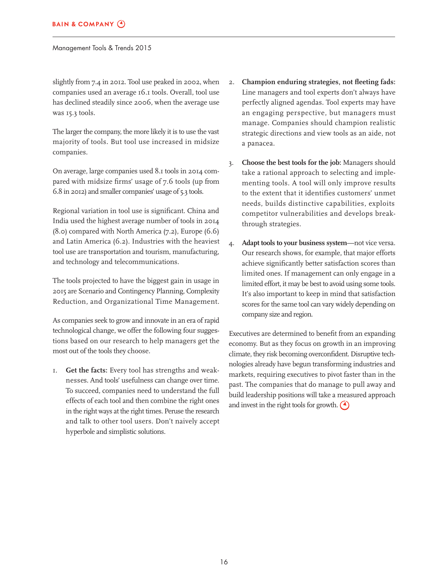slightly from 7.4 in 2012. Tool use peaked in 2002, when companies used an average 16.1 tools. Overall, tool use has declined steadily since 2006, when the average use was 15.3 tools.

The larger the company, the more likely it is to use the vast majority of tools. But tool use increased in midsize companies.

On average, large companies used 8.1 tools in 2014 compared with midsize firms' usage of 7.6 tools (up from 6.8 in 2012) and smaller companies' usage of 5.3 tools.

Regional variation in tool use is significant. China and India used the highest average number of tools in 2014  $(8.0)$  compared with North America  $(7.2)$ , Europe  $(6.6)$ and Latin America (6.2). Industries with the heaviest tool use are transportation and tourism, manufacturing, and technology and telecommunications.

The tools projected to have the biggest gain in usage in 2015 are Scenario and Contingency Planning, Complexity Reduction, and Organizational Time Management.

As companies seek to grow and innovate in an era of rapid technological change, we offer the following four suggestions based on our research to help managers get the most out of the tools they choose.

1. **Get the facts:** Every tool has strengths and weaknesses. And tools' usefulness can change over time. To succeed, companies need to understand the full effects of each tool and then combine the right ones in the right ways at the right times. Peruse the research and talk to other tool users. Don't naively accept hyperbole and simplistic solutions.

- 2. Champion enduring strategies, not fleeting fads: Line managers and tool experts don't always have perfectly aligned agendas. Tool experts may have an engaging perspective, but managers must manage. Companies should champion realistic strategic directions and view tools as an aide, not a panacea.
- 3. **Choose the best tools for the job:** Managers should take a rational approach to selecting and implementing tools. A tool will only improve results to the extent that it identifies customers' unmet needs, builds distinctive capabilities, exploits competitor vulnerabilities and develops breakthrough strategies.
- 4. **Adapt tools to your business system**—not vice versa. Our research shows, for example, that major efforts achieve significantly better satisfaction scores than limited ones. If management can only engage in a limited effort, it may be best to avoid using some tools. It's also important to keep in mind that satisfaction scores for the same tool can vary widely depending on company size and region.

Executives are determined to benefit from an expanding economy. But as they focus on growth in an improving climate, they risk becoming overconfident. Disruptive technologies already have begun transforming industries and markets, requiring executives to pivot faster than in the past. The companies that do manage to pull away and build leadership positions will take a measured approach and invest in the right tools for growth.  $\bigodot$